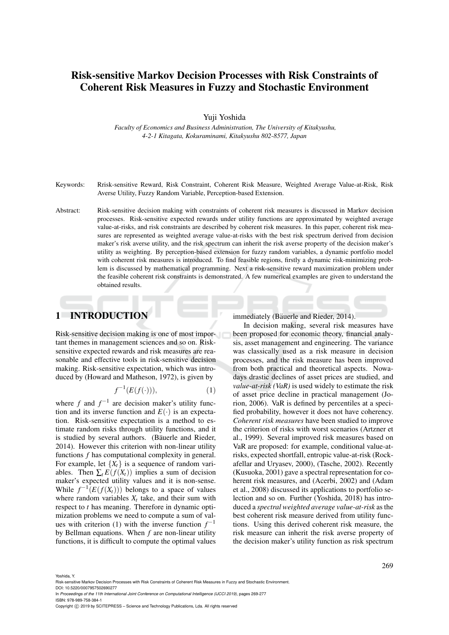# Risk-sensitive Markov Decision Processes with Risk Constraints of Coherent Risk Measures in Fuzzy and Stochastic Environment

Yuji Yoshida

*Faculty of Economics and Business Administration, The University of Kitakyushu, 4-2-1 Kitagata, Kokuraminami, Kitakyushu 802-8577, Japan*

Keywords: Rrisk-sensitive Reward, Risk Constraint, Coherent Risk Measure, Weighted Average Value-at-Risk, Risk Averse Utility, Fuzzy Random Variable, Perception-based Extension.

Abstract: Risk-sensitive decision making with constraints of coherent risk measures is discussed in Markov decision processes. Risk-sensitive expected rewards under utility functions are approximated by weighted average value-at-risks, and risk constraints are described by coherent risk measures. In this paper, coherent risk measures are represented as weighted average value-at-risks with the best risk spectrum derived from decision maker's risk averse utility, and the risk spectrum can inherit the risk averse property of the decision maker's utility as weighting. By perception-based extension for fuzzy random variables, a dynamic portfolio model with coherent risk measures is introduced. To find feasible regions, firstly a dynamic risk-minimizing problem is discussed by mathematical programming. Next a risk-sensitive reward maximization problem under the feasible coherent risk constraints is demonstrated. A few numerical examples are given to understand the obtained results.

### **INTRODUCTION**

Risk-sensitive decision making is one of most important themes in management sciences and so on. Risksensitive expected rewards and risk measures are reasonable and effective tools in risk-sensitive decision making. Risk-sensitive expectation, which was introduced by (Howard and Matheson, 1972), is given by

$$
f^{-1}(E(f(\cdot))),\tag{1}
$$

where  $f$  and  $f^{-1}$  are decision maker's utility function and its inverse function and  $E(\cdot)$  is an expectation. Risk-sensitive expectation is a method to estimate random risks through utility functions, and it is studied by several authors. (Bäuerle and Rieder, 2014). However this criterion with non-linear utility functions *f* has computational complexity in general. For example, let  ${X_t}$  is a sequence of random variables. Then  $\sum_{t} E(f(X_t))$  implies a sum of decision maker's expected utility values and it is non-sense. While  $f^{-1}(E(f(X_t)))$  belongs to a space of values where random variables  $X_t$  take, and their sum with respect to *t* has meaning. Therefore in dynamic optimization problems we need to compute a sum of values with criterion (1) with the inverse function  $f^{-1}$ by Bellman equations. When *f* are non-linear utility functions, it is difficult to compute the optimal values

immediately (Bäuerle and Rieder, 2014).

In decision making, several risk measures have been proposed for economic theory, financial analysis, asset management and engineering. The variance was classically used as a risk measure in decision processes, and the risk measure has been improved from both practical and theoretical aspects. Nowadays drastic declines of asset prices are studied, and *value-at-risk (VaR)* is used widely to estimate the risk of asset price decline in practical management (Jorion, 2006). VaR is defined by percentiles at a specified probability, however it does not have coherency. *Coherent risk measures* have been studied to improve the criterion of risks with worst scenarios (Artzner et al., 1999). Several improved risk measures based on VaR are proposed: for example, conditional value-atrisks, expected shortfall, entropic value-at-risk (Rockafellar and Uryasev, 2000), (Tasche, 2002). Recently (Kusuoka, 2001) gave a spectral representation for coherent risk measures, and (Acerbi, 2002) and (Adam et al., 2008) discussed its applications to portfolio selection and so on. Further (Yoshida, 2018) has introduced a *spectral weighted average value-at-risk* as the best coherent risk measure derived from utility functions. Using this derived coherent risk measure, the risk measure can inherit the risk averse property of the decision maker's utility function as risk spectrum

Yoshida, Y.

Risk-sensitive Markov Decision Processes with Risk Constraints of Coherent Risk Measures in Fuzzy and Stochastic Environment.

DOI: 10.5220/0007957502690277

In *Proceedings of the 11th International Joint Conference on Computational Intelligence (IJCCI 2019)*, pages 269-277 ISBN: 978-989-758-384-1

Copyright (C) 2019 by SCITEPRESS - Science and Technology Publications, Lda. All rights reserved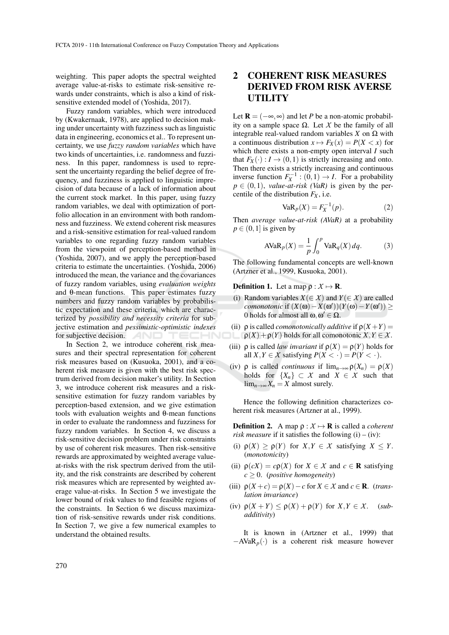weighting. This paper adopts the spectral weighted average value-at-risks to estimate risk-sensitive rewards under constraints, which is also a kind of risksensitive extended model of (Yoshida, 2017).

Fuzzy random variables, which were introduced by (Kwakernaak, 1978), are applied to decision making under uncertainty with fuzziness such as linguistic data in engineering, economics et al.. To represent uncertainty, we use *fuzzy random variables* which have two kinds of uncertainties, i.e. randomness and fuzziness. In this paper, randomness is used to represent the uncertainty regarding the belief degree of frequency, and fuzziness is applied to linguistic imprecision of data because of a lack of information about the current stock market. In this paper, using fuzzy random variables, we deal with optimization of portfolio allocation in an environment with both randomness and fuzziness. We extend coherent risk measures and a risk-sensitive estimation for real-valued random variables to one regarding fuzzy random variables from the viewpoint of perception-based method in (Yoshida, 2007), and we apply the perception-based criteria to estimate the uncertainties. (Yoshida, 2006) introduced the mean, the variance and the covariances of fuzzy random variables, using *evaluation weights* and θ-mean functions. This paper estimates fuzzy numbers and fuzzy random variables by probabilistic expectation and these criteria, which are characterized by *possibility and necessity criteria* for subjective estimation and *pessimistic-optimistic indexes* for subjective decision. IHNI

In Section 2, we introduce coherent risk measures and their spectral representation for coherent risk measures based on (Kusuoka, 2001), and a coherent risk measure is given with the best risk spectrum derived from decision maker's utility. In Section 3, we introduce coherent risk measures and a risksensitive estimation for fuzzy random variables by perception-based extension, and we give estimation tools with evaluation weights and θ-mean functions in order to evaluate the randomness and fuzziness for fuzzy random variables. In Section 4, we discuss a risk-sensitive decision problem under risk constraints by use of coherent risk measures. Then risk-sensitive rewards are approximated by weighted average valueat-risks with the risk spectrum derived from the utility, and the risk constraints are described by coherent risk measures which are represented by weighted average value-at-risks. In Section 5 we investigate the lower bound of risk values to find feasible regions of the constraints. In Section 6 we discuss maximization of risk-sensitive rewards under risk conditions. In Section 7, we give a few numerical examples to understand the obtained results.

### 2 COHERENT RISK MEASURES DERIVED FROM RISK AVERSE **UTILITY**

Let  $\mathbf{R} = (-\infty, \infty)$  and let *P* be a non-atomic probability on a sample space Ω. Let *X* be the family of all integrable real-valued random variables *X* on Ω with a continuous distribution  $x \mapsto F_X(x) = P(X < x)$  for which there exists a non-empty open interval *I* such that  $F_X(\cdot) : I \to (0,1)$  is strictly increasing and onto. Then there exists a strictly increasing and continuous inverse function  $F_X^{-1}$  : (0,1)  $\rightarrow$  *I*. For a probability  $p \in (0,1)$ , *value-at-risk* (VaR) is given by the percentile of the distribution  $F_X$ , i.e.

$$
VaRp(X) = FX-1(p).
$$
 (2)

Then *average value-at-risk (AVaR)* at a probability  $p \in (0,1]$  is given by

$$
AVaR_p(X) = \frac{1}{p} \int_0^p VaR_q(X) \, dq. \tag{3}
$$

The following fundamental concepts are well-known (Artzner et al., 1999, Kusuoka, 2001).

#### **Definition 1.** Let a map  $\rho : \mathcal{X} \mapsto \mathbf{R}$ .

- (i) Random variables *X*(∈ *X*) and *Y*(∈ *X*) are called  $\alpha$ *comonotonic* if  $(X(\omega) - X(\omega'))(Y(\omega) - Y(\omega')) \geq$ 0 holds for almost all  $\omega, \omega' \in \Omega$ .
- (ii)  $\rho$  is called *comonotonically additive* if  $\rho(X+Y)$  =  $\rho(X) + \rho(Y)$  holds for all comonotonic  $X, Y \in \mathcal{X}$ .
- (iii)  $\rho$  is called *law invariant* if  $\rho(X) = \rho(Y)$  holds for all  $X, Y \in \mathcal{X}$  satisfying  $P(X \leq \cdot) = P(Y \leq \cdot)$ .
- (iv)  $\rho$  is called *continuous* if  $\lim_{n\to\infty} \rho(X_n) = \rho(X)$ holds for  $\{X_n\} \subset X$  and  $X \in X$  such that  $\lim_{n\to\infty}X_n=X$  almost surely.

Hence the following definition characterizes coherent risk measures (Artzner at al., 1999).

**Definition 2.** A map  $\rho : X \mapsto \mathbf{R}$  is called a *coherent risk measure* if it satisfies the following  $(i) - (iv)$ :

- (i)  $\rho(X) \ge \rho(Y)$  for  $X, Y \in \mathcal{X}$  satisfying  $X \le Y$ . (*monotonicity*)
- (ii)  $\rho(cX) = c\rho(X)$  for  $X \in \mathcal{X}$  and  $c \in \mathbb{R}$  satisfying  $c \geq 0$ . (*positive homogeneity*)
- (iii)  $\rho(X + c) = \rho(X) c$  for  $X \in \mathcal{X}$  and  $c \in \mathbb{R}$ . (*translation invariance*)
- (iv)  $\rho(X+Y) \leq \rho(X) + \rho(Y)$  for  $X, Y \in X$ . (*subadditivity*)
- It is known in (Artzner et al., 1999) that −AVaR*p*(·) is a coherent risk measure however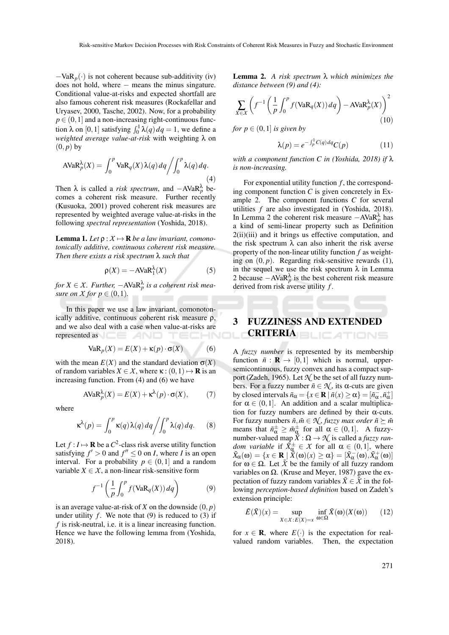$-VaR_p(\cdot)$  is not coherent because sub-additivity (iv) does not hold, where − means the minus singature. Conditional value-at-risks and expected shortfall are also famous coherent risk measures (Rockafellar and Uryasev, 2000, Tasche, 2002). Now, for a probability  $p \in (0,1]$  and a non-increasing right-continuous function  $\lambda$  on [0, 1] satisfying  $\int_0^1 \lambda(q) dq = 1$ , we define a *weighted average value-at-risk* with weighting λ on  $(0, p)$  by

$$
AVaR_p^{\lambda}(X) = \int_0^p VaR_q(X)\lambda(q) dq \bigg/ \int_0^p \lambda(q) dq.
$$
\n(4)

Then  $\lambda$  is called a *risk spectrum*, and  $-AVaR_p^{\lambda}$  becomes a coherent risk measure. Further recently (Kusuoka, 2001) proved coherent risk measures are represented by weighted average value-at-risks in the following *spectral representation* (Yoshida, 2018).

**Lemma 1.** Let  $\rho: X \mapsto \mathbf{R}$  be a law invariant, comono*tonically additive, continuous coherent risk measure. Then there exists a risk spectrum* λ *such that*

$$
\rho(X) = -\text{AVaR}_1^{\lambda}(X) \tag{5}
$$

 $for X \in \mathcal{X}$ . Further,  $-\text{AVaR}_p^{\lambda}$  is a coherent risk mea*sure on X for*  $p \in (0,1)$ *.* 

In this paper we use a law invariant, comonotonically additive, continuous coherent risk measure ρ, and we also deal with a case when value-at-risks are represented as **the contract of the contract of the contract of the contract of the contract of the contract of the contract of the contract of the contract of the contract of the contract of the contract of the contract o** 

$$
VaRp(X) = E(X) + \kappa(p) \cdot \sigma(X)
$$
 (6)

with the mean  $E(X)$  and the standard deviation  $\sigma(X)$ of random variables  $X \in \mathcal{X}$ , where  $\kappa: (0,1) \mapsto \mathbf{R}$  is an increasing function. From (4) and (6) we have

$$
AVaRpλ(X) = E(X) + \kappaλ(p) \cdot \sigma(X),
$$
 (7)

where

$$
\kappa^{\lambda}(p) = \int_0^p \kappa(q) \lambda(q) dq \bigg/ \int_0^p \lambda(q) dq. \qquad (8)
$$

Let  $f: I \mapsto \mathbf{R}$  be a  $C^2$ -class risk averse utility function satisfying  $f' > 0$  and  $f'' \le 0$  on *I*, where *I* is an open interval. For a probability  $p \in (0,1]$  and a random variable  $X \in \mathcal{X}$ , a non-linear risk-sensitive form

$$
f^{-1}\left(\frac{1}{p}\int_0^p f(\text{VaR}_q(X))\,dq\right) \tag{9}
$$

is an average value-at-risk of  $X$  on the downside  $(0, p)$ under utility  $f$ . We note that  $(9)$  is reduced to  $(3)$  if *f* is risk-neutral, i.e. it is a linear increasing function. Hence we have the following lemma from (Yoshida, 2018).

Lemma 2. *A risk spectrum* λ *which minimizes the distance between (9) and (4):*

$$
\sum_{X \in \mathcal{X}} \left( f^{-1} \left( \frac{1}{p} \int_0^p f(\text{VaR}_q(X)) \, dq \right) - \text{AVaR}_p^{\lambda}(X) \right)^2 \tag{10}
$$

for 
$$
p \in (0,1]
$$
 is given by

$$
\lambda(p) = e^{-\int_{p}^{1} C(q) dq} C(p) \tag{11}
$$

*with a component function C in (Yoshida, 2018) if* λ *is non-increasing.*

For exponential utility function *f* , the corresponding component function *C* is given concretely in Example 2. The component functions *C* for several utilities *f* are also investigated in (Yoshida, 2018). In Lemma 2 the coherent risk measure  $-AVaR_p^{\lambda}$  has a kind of semi-linear property such as Definition 2(ii)(iii) and it brings us effective computation, and the risk spectrum  $\lambda$  can also inherit the risk averse property of the non-linear utility function *f* as weighting on  $(0, p)$ . Regarding risk-sensitive rewards  $(1)$ , in the sequel we use the risk spectrum  $\lambda$  in Lemma 2 because  $-AVaR_p^{\lambda}$  is the best coherent risk measure derived from risk averse utility *f* .

# 3 FUZZINESS AND EXTENDED **CRITERIA**BLICATIONS

A *fuzzy number* is represented by its membership function  $\tilde{n}$  :  $\mathbf{R} \to [0,1]$  which is normal, uppersemicontinuous, fuzzy convex and has a compact support (Zadeh, 1965). Let  $\mathcal{N}$  be the set of all fuzzy numbers. For a fuzzy number  $\tilde{n} \in \mathcal{N}$ , its  $\alpha$ -cuts are given by closed intervals  $\tilde{n}_{\alpha} = \{x \in \mathbf{R} \mid \tilde{n}(x) \ge \alpha\} = [\tilde{n}_{\alpha}^-, \tilde{n}_{\alpha}^+]$ for  $\alpha \in (0,1]$ . An addition and a scalar multiplication for fuzzy numbers are defined by their  $\alpha$ -cuts. For fuzzy numbers  $\tilde{n}, \tilde{m} \in \mathcal{N}$ , *fuzzy max order*  $\tilde{n} \succeq \tilde{m}$ means that  $\tilde{n}_{\alpha}^{\pm} \geq \tilde{m}_{\alpha}^{\pm}$  for all  $\alpha \in (0,1]$ . A fuzzynumber-valued map  $\tilde{X}: \Omega \to \mathcal{N}$  is called a *fuzzy random variable* if  $\tilde{X}_{\alpha}^{\pm} \in X$  for all  $\alpha \in (0,1]$ , where  $\tilde{X}_{\alpha}(\omega) = \{x \in \mathbf{R} \mid \tilde{X}(\omega)(x) \geq \alpha\} = [\tilde{X}_{\alpha}^{-}(\omega), \tilde{X}_{\alpha}^{+}(\omega)]$ for  $\omega \in \Omega$ . Let  $\tilde{\chi}$  be the family of all fuzzy random variables on  $\Omega$ . (Kruse and Meyer, 1987) gave the expectation of fuzzy random variables  $\tilde{X} \in \tilde{X}$  in the following *perception-based definition* based on Zadeh's extension principle:

$$
\tilde{E}(\tilde{X})(x) = \sup_{X \in \mathcal{X}: E(X) = x} \inf_{\omega \in \Omega} \tilde{X}(\omega)(X(\omega)) \qquad (12)
$$

for  $x \in \mathbf{R}$ , where  $E(\cdot)$  is the expectation for realvalued random variables. Then, the expectation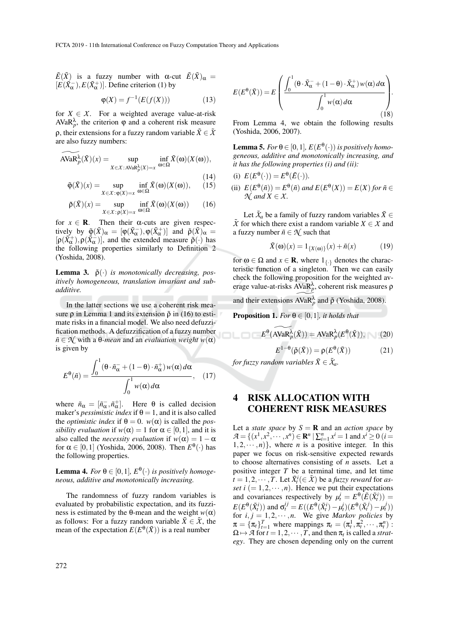$\tilde{E}(\tilde{X})$  is a fuzzy number with  $\alpha$ -cut  $\tilde{E}(\tilde{X})_{\alpha} =$  $[E(X_{\alpha}^{-}), E(X_{\alpha}^{+})]$ . Define criterion (1) by

$$
\varphi(X) = f^{-1}(E(f(X)))\tag{13}
$$

for  $X \in \mathcal{X}$ . For a weighted average value-at-risk  $AVaR<sub>p</sub><sup>λ</sup>$ , the criterion  $\varphi$  and a coherent risk measure **ρ**, their extensions for a fuzzy random variable  $\tilde{X} \in \tilde{X}$ are also fuzzy numbers:

$$
\widetilde{\text{AVaR}^{\lambda}_{p}}(\tilde{X})(x) = \sup_{X \in \mathcal{X} : \text{AVaR}^{\lambda}_{p}(X) = x} \inf_{\omega \in \Omega} \tilde{X}(\omega)(X(\omega)),
$$

$$
\tilde{\varphi}(\tilde{X})(x) = \sup_{X \in \mathcal{X}: \varphi(X) = x} \inf_{\omega \in \Omega} \tilde{X}(\omega)(X(\omega)), \qquad (15)
$$

$$
\tilde{\rho}(\tilde{X})(x) = \sup_{X \in \mathcal{X} : \rho(X) = x} \inf_{\omega \in \Omega} \tilde{X}(\omega)(X(\omega)) \qquad (16)
$$

for  $x \in \mathbf{R}$ . Then their  $\alpha$ -cuts are given respectively by  $\tilde{\phi}(\tilde{X})_{\alpha} = [\phi(\tilde{X}_{\alpha}^{-}), \phi(\tilde{X}_{\alpha}^{+})]$  and  $\tilde{\rho}(\tilde{X})_{\alpha} =$  $[\rho(\tilde{X}_{\alpha}^+), \rho(\tilde{X}_{\alpha}^-)]$ , and the extended measure  $\tilde{\rho}(\cdot)$  has the following properties similarly to Definition 2 (Yoshida, 2008).

**Lemma 3.**  $\tilde{\rho}(\cdot)$  *is monotonically decreasing, positively homogeneous, translation invariant and subadditive.*

In the latter sections we use a coherent risk measure  $\rho$  in Lemma 1 and its extension  $\tilde{\rho}$  in (16) to estimate risks in a financial model. We also need defuzzification methods. A defuzzification of a fuzzy number  $\tilde{n} \in \mathcal{N}$  with a  $\theta$ -mean and an *evaluation weight*  $w(\alpha)$ is given by

$$
E^{\theta}(\tilde{n}) = \frac{\int_0^1 (\theta \cdot \tilde{n}_{\alpha}^- + (1 - \theta) \cdot \tilde{n}_{\alpha}^+) w(\alpha) d\alpha}{\int_0^1 w(\alpha) d\alpha}, \quad (17)
$$

where  $\tilde{n}_{\alpha} = [\tilde{n}_{\alpha}^-, \tilde{n}_{\alpha}^+]$ . Here  $\theta$  is called decision maker's *pessimistic index* if  $\theta = 1$ , and it is also called the *optimistic index* if  $\theta = 0$ .  $w(\alpha)$  is called the *possibility evaluation* if  $w(\alpha) = 1$  for  $\alpha \in [0,1]$ , and it is also called the *necessity evaluation* if  $w(\alpha) = 1 - \alpha$ for  $\alpha \in [0,1]$  (Yoshida, 2006, 2008). Then  $E^{\theta}(\cdot)$  has the following properties.

Lemma 4. *For*  $\theta \in [0,1]$ ,  $E^{\theta}(\cdot)$  *is positively homogeneous, additive and monotonically increasing.*

The randomness of fuzzy random variables is evaluated by probabilistic expectation, and its fuzziness is estimated by the  $\theta$ -mean and the weight  $w(\alpha)$ as follows: For a fuzzy random variable  $\tilde{X} \in \tilde{X}$ , the mean of the expectation  $E(E^{\theta}(\tilde{X}))$  is a real number

$$
E(E^{\theta}(\tilde{X})) = E\left(\frac{\int_0^1 (\theta \cdot \tilde{X}_{\alpha}^- + (1 - \theta) \cdot \tilde{X}_{\alpha}^+) w(\alpha) d\alpha}{\int_0^1 w(\alpha) d\alpha}\right).
$$
(18)

From Lemma 4, we obtain the following results (Yoshida, 2006, 2007).

**Lemma 5.** *For*  $\theta \in [0,1]$ *,*  $E(E^{\theta}(\cdot))$  *is positively homogeneous, additive and monotonically increasing, and it has the following properties (i) and (ii):*

(i) 
$$
E(E^{\theta}(\cdot)) = E^{\theta}(\tilde{E}(\cdot)).
$$

(ii)  $E(E^{\theta}(\tilde{n})) = E^{\theta}(\tilde{n})$  and  $E(E^{\theta}(X)) = E(X)$  for  $\tilde{n} \in$  $\mathcal{N}$  *and*  $X \in \mathcal{X}$ *.* 

Let  $\tilde{X}_a$  be a family of fuzzy random variables  $\tilde{X} \in$  $\tilde{X}$  for which there exist a random variable  $X \in \mathcal{X}$  and a fuzzy number  $\tilde{n} \in \mathcal{N}$  such that

$$
\tilde{X}(\omega)(x) = 1_{\{X(\omega)\}}(x) + \tilde{n}(x) \tag{19}
$$

for  $\omega \in \Omega$  and  $x \in \mathbf{R}$ , where  $1_{\{\cdot\}}$  denotes the characteristic function of a singleton. Then we can easily check the following proposition for the weighted average value-at-risks  $AVaR<sub>p</sub><sup>λ</sup>$ , coherent risk measures  $ρ$ 

and their extensions  $\widetilde{AVaR_{p}^{\lambda}}$  and  $\tilde{\rho}$  (Yoshida, 2008).

**Proposition 1.** *For*  $\theta \in [0,1]$ *, it holds that* 

$$
E^{\theta}(\widetilde{\text{AVaR}}_{p}^{\lambda}(\tilde{X})) = \text{AVaR}_{p}^{\lambda}(E^{\theta}(\tilde{X})), \quad (20)
$$

$$
E^{1-\theta}(\tilde{\rho}(\tilde{X})) = \rho(E^{\theta}(\tilde{X}))
$$
 (21)

*for fuzzy random variables*  $\tilde{X} \in \tilde{X}_a$ *.* 

### 4 RISK ALLOCATION WITH COHERENT RISK MEASURES

Let a *state space* by  $S = \mathbf{R}$  and an *action space* by  $\mathcal{A} = \{ (x^1, x^2, \dots, x^n) \in \mathbb{R}^n \mid \sum_{i=1}^n x^i = 1 \text{ and } x^i \ge 0 \ (i = 1, 1) \}$  $1, 2, \dots, n$ }, where *n* is a positive integer. In this paper we focus on risk-sensitive expected rewards to choose alternatives consisting of *n* assets. Let a positive integer *T* be a terminal time, and let time  $\tilde{t} = 1, 2, \cdots, T$ . Let  $\tilde{X}^i_t(\in \tilde{X})$  be a *fuzzy reward* for *asset i*  $(= 1, 2, \dots, n)$ . Hence we put their expectations and covariances respectively by  $\mu_t^i = E^\theta(\tilde{E}(\tilde{X}_t^i)) =$  $E(E^{\theta}(\tilde{X}_t^i))$  and  $\sigma_t^{ij} = E((E^{\theta}(\tilde{X}_t^i) - \mu_t^i)(E^{\theta}(\tilde{X}_t^j) - \mu_t^i))$ for  $i, j = 1, 2, \dots, n$ . We give *Markov policies* by  $\pi = {\pi_t}_{t=1}^T$  where mappings  $\pi_t = (\pi_t^1, \pi_t^2, \dots, \pi_t^n)$ :  $\Omega \mapsto \mathcal{A}$  for  $t = 1, 2, \dots, T$ , and then  $\pi_t$  is called a *strategy*. They are chosen depending only on the current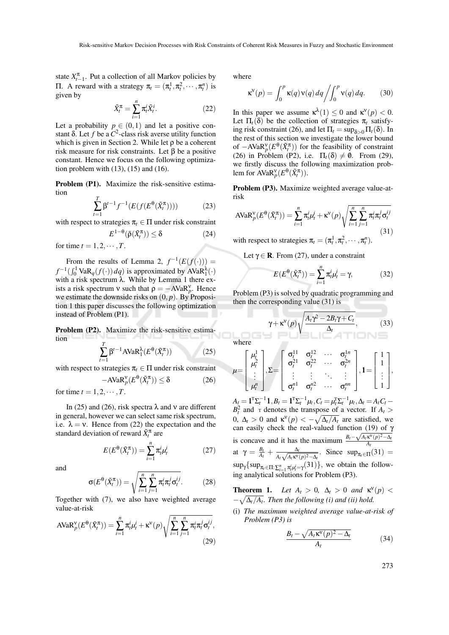state  $X_{t-1}^{\pi}$ . Put a collection of all Markov policies by **Π**. A reward with a strategy  $\pi_t = (\pi_t^1, \pi_t^2, \dots, \pi_t^n)$  is given by

$$
\tilde{X}_t^{\pi} = \sum_{i=1}^n \pi_t^i \tilde{X}_t^i.
$$
\n(22)

Let a probability  $p \in (0,1)$  and let a positive constant  $\delta$ . Let  $f$  be a  $C^2$ -class risk averse utility function which is given in Section 2. While let  $\rho$  be a coherent risk measure for risk constraints. Let β be a positive constant. Hence we focus on the following optimization problem with (13), (15) and (16).

Problem (P1). Maximize the risk-sensitive estimation

$$
\sum_{t=1}^{T} \beta^{t-1} f^{-1}(E(f(E^{\theta}(\tilde{X}_t^{\pi})))) \tag{23}
$$

with respect to strategies  $\pi_t \in \Pi$  under risk constraint

$$
E^{1-\theta}(\tilde{\rho}(\tilde{X}_t^{\pi})) \le \delta \tag{24}
$$

for time  $t = 1, 2, \cdots, T$ .

From the results of Lemma 2,  $f^{-1}(E(f(\cdot)))$  =  $f^{-1}(\int_0^1 \text{VaR}_q(f(\cdot)) dq)$  is approximated by AVaR<sup> $\lambda$ </sup>(·) with a risk spectrum  $λ$ . While by Lemma 1 there exists a risk spectrum  $v$  such that  $\rho = -AVaR_p^v$ . Hence we estimate the downside risks on (0, *p*). By Proposition 1 this paper discusses the following optimization instead of Problem (P1).

Problem (P2). Maximize the risk-sensitive estimation *T*

$$
\sum_{t=1}^{I} \beta^{t-1} \text{AVaR}_1^{\lambda}(E^{\theta}(\tilde{X}_t^{\pi})) \tag{25}
$$

with respect to strategies  $\pi_t \in \Pi$  under risk constraint

$$
-\text{AVaR}_p^{\mathbf{v}}(E^{\theta}(\tilde{X}_t^{\pi})) \le \delta \tag{26}
$$

for time  $t = 1, 2, \cdots, T$ .

In (25) and (26), risk spectra  $\lambda$  and v are different in general, however we can select same risk spectrum, i.e.  $\lambda = v$ . Hence from (22) the expectation and the standard deviation of reward  $\tilde{X}^{\pi}_t$  are

$$
E(E^{\theta}(\tilde{X}_t^{\pi})) = \sum_{i=1}^n \pi_t^i \mu_t^i
$$
 (27)

and

$$
\sigma(E^{\theta}(\tilde{X}_t^{\pi})) = \sqrt{\sum_{i=1}^n \sum_{j=1}^n \pi_i^i \pi_i^j \sigma_i^{ij}}.
$$
 (28)

Together with (7), we also have weighted average value-at-risk

$$
AVaR_p^{\mathbf{v}}(E^{\theta}(\tilde{X}_t^{\pi})) = \sum_{i=1}^n \pi_t^i \mu_t^i + \kappa^{\mathbf{v}}(p) \sqrt{\sum_{i=1}^n \sum_{j=1}^n \pi_t^i \pi_t^j \sigma_t^{ij}},
$$
\n(29)

where

$$
\kappa^{\mathbf{v}}(p) = \int_0^p \kappa(q) \mathbf{v}(q) dq \bigg/ \int_0^p \mathbf{v}(q) dq. \qquad (30)
$$

In this paper we assume  $\kappa^{\lambda}(1) \leq 0$  and  $\kappa^{\nu}(p) < 0$ . Let  $\Pi_t(\delta)$  be the collection of strategies  $\pi_t$  satisfying risk constraint (26), and let  $\Pi_t = \sup_{\delta > 0} \Pi_t(\delta)$ . In the rest of this section we investigate the lower bound of  $-\text{AVaR}_{p}^{\text{v}}(E^{\theta}(\tilde{X}_{t}^{\pi}))$  for the feasibility of constraint (26) in Problem (P2), i.e.  $\Pi_t(\delta) \neq \emptyset$ . From (29), we firstly discuss the following maximization problem for  $\text{AVaR}_{p}^{\nu}(E^{\theta}(\tilde{X}_{t}^{\pi}))$ .

Problem (P3). Maximize weighted average value-atrisk

$$
AVaR_p^{\nu}(E^{\theta}(\tilde{X}_t^{\pi})) = \sum_{i=1}^n \pi_t^i \mu_t^i + \kappa^{\nu}(p) \sqrt{\sum_{i=1}^n \sum_{j=1}^n \pi_t^i \pi_t^j \sigma_t^{ij}}
$$
\n(31)

with respect to strategies  $\pi_t = (\pi_t^1, \pi_t^2, \dots, \pi_t^n)$ .

Let  $\gamma \in \mathbf{R}$ . From (27), under a constraint

$$
E(E^{\theta}(\tilde{X}_t^{\pi})) = \sum_{i=1}^n \pi_t^i \mu_t^i = \gamma,
$$
 (32)

Problem (P3) is solved by quadratic programming and then the corresponding value (31) is

$$
\gamma + \kappa^{\mathsf{V}}(p) \sqrt{\frac{A_t \gamma^2 - 2B_t \gamma + C_t}{\Delta_t}},\tag{33}
$$

where

$$
\mu = \begin{bmatrix} \mu_t^1 \\ \mu_t^2 \\ \vdots \\ \mu_t^n \end{bmatrix}, \Sigma = \begin{bmatrix} \sigma_t^{11} & \sigma_t^{12} & \cdots & \sigma_t^{1n} \\ \sigma_t^{21} & \sigma_t^{22} & \cdots & \sigma_t^{2n} \\ \vdots & \vdots & \ddots & \vdots \\ \sigma_t^{n1} & \sigma_t^{n2} & \cdots & \sigma_t^{nn} \end{bmatrix}, \mathbf{1} = \begin{bmatrix} 1 \\ 1 \\ \vdots \\ 1 \end{bmatrix},
$$

 $A_t = \mathbf{1}^{\mathrm{T}} \Sigma_t^{-1} \mathbf{1}, B_t = \mathbf{1}^{\mathrm{T}} \Sigma_t^{-1} \mu_t, C_t = \mu_t^{\mathrm{T}} \Sigma_t^{-1} \mu_t, \Delta_t = A_t C_t - \mu_t^{\mathrm{T}} \Sigma_t^{-1} \mu_t$  $B_t^2$  and  $\tau$  denotes the transpose of a vector. If  $A_t >$ 0,  $\Delta_t > 0$  and  $\kappa^{\text{V}}(p) < -\sqrt{\Delta_t/A_t}$  are satisfied, we can easily check the real-valued function (19) of  $\gamma$ is concave and it has the maximum  $\frac{B_t - B}{A}$  $\frac{\sqrt{A_t} \kappa^v(p)^2 - Δ_t}{\sqrt{A_t^2 + \frac{1}{2}}}$ *At* at  $\gamma = \frac{B_t}{A_t} + \frac{\Delta_t}{A_t \sqrt{A_t \kappa^V}}$  $\frac{\Delta_t}{A_t \sqrt{A_t \kappa^V(p)^2 - \Delta_t}}$ . Since sup<sub>π<sub>t</sub>∈Π</sub>(31) =  $\sup_{\gamma} {\sup_{\pi_t \in \Pi: \sum_{i=1}^n \pi_t^i \mu_t^i = \gamma(31)}$ , we obtain the following analytical solutions for Problem (P3).

**Theorem 1.** Let  $A_t > 0$ ,  $\Delta_t > 0$  and  $\kappa^{\nu}(p) <$  $-\sqrt{\Delta_t/A_t}$ . Then the following (i) and (ii) hold.

(i) *The maximum weighted average value-at-risk of Problem (P3) is*

$$
\frac{B_t - \sqrt{A_t \kappa^{\mathsf{V}}(p)^2 - \Delta_t}}{A_t} \tag{34}
$$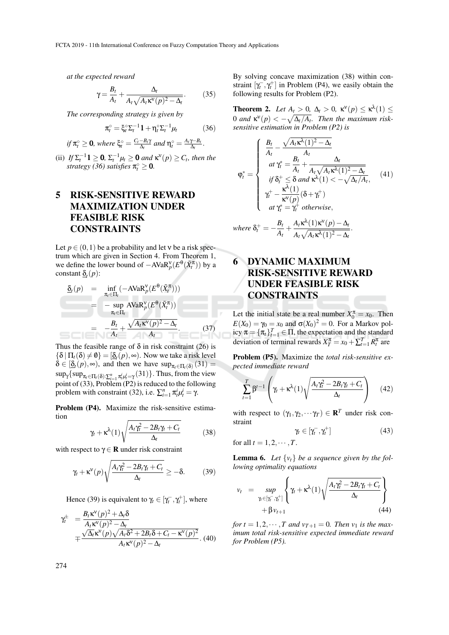*at the expected reward*

$$
\gamma = \frac{B_t}{A_t} + \frac{\Delta_t}{A_t \sqrt{A_t \kappa^V(p)^2 - \Delta_t}}.\tag{35}
$$

*The corresponding strategy is given by*

$$
\pi_t^\circ = \xi_t^\circ \Sigma_t^{-1} \mathbf{1} + \eta_t^\circ \Sigma_t^{-1} \mu_t \tag{36}
$$

if 
$$
\pi_t^{\circ} \geq 0
$$
, where  $\xi_t^{\circ} = \frac{C_t - B_t \gamma}{\Delta_t}$  and  $\eta_t^{\circ} = \frac{A_t \gamma - B_t}{\Delta_t}$ .

(ii) *If*  $\Sigma_t^{-1}$ **1**  $\geq$  **0**,  $\Sigma_t^{-1}$  $\mu_t$   $\geq$  **0** and  $\kappa$ <sup> $\mathbf{v}(p)$   $\geq$  *C*<sub>t</sub>, then the</sup> *strategy* (36) satisfies  $\pi_t^{\circ} \geq 0$ .

### 5 RISK-SENSITIVE REWARD MAXIMIZATION UNDER FEASIBLE RISK CONSTRAINTS

Let  $p \in (0,1)$  be a probability and let v be a risk spectrum which are given in Section 4. From Theorem 1, we define the lower bound of  $-AVaR_p^{\nu}(E^{\theta}(\tilde{X}_t^{\pi}))$  by a constant  $\underline{\delta}_t(p)$ :

$$
\begin{array}{rcl}\n\delta_t(p) & = & \inf_{\pi_t \in \Pi_t} \left( -A \text{VaR}_p^{\text{V}}(E^{\theta}(\tilde{X}_t^{\pi})) \right) \\
& = & -\sup_{\pi_t \in \Pi_t} \text{AVaR}_p^{\text{V}}(E^{\theta}(\tilde{X}_t^{\pi})) \\
& = & -\frac{B_t}{A_t} + \frac{\sqrt{A_t \kappa^{\text{V}}(p)^2 - \Delta_t}}{A_t}.\n\end{array} \tag{37}
$$

Thus the feasible range of  $\delta$  in risk constraint (26) is  ${\{\delta \mid \Pi_t(\delta) \neq \emptyset\}} = [\underline{\delta}_t(p), \infty)$ . Now we take a risk level  $\delta \in [\underline{\delta}_t(p), \infty)$ , and then we have  $\sup_{\pi_t \in \Pi_t(\delta)} (31) =$  $\sup_{\gamma} {\sup_{\pi_t \in \Pi_t(\delta): \sum_{i=1}^n \pi_t^i \mu_t^i = \gamma} (31)}$ . Thus, from the view point of (33), Problem (P2) is reduced to the following problem with constraint (32), i.e.  $\sum_{i=1}^{n} \pi_i^i \mu_i^i = \gamma$ .

Problem (P4). Maximize the risk-sensitive estimation

$$
\gamma_t + \kappa^{\lambda}(1) \sqrt{\frac{A_t \gamma_t^2 - 2B_t \gamma_t + C_t}{\Delta_t}}
$$
(38)

with respect to  $\gamma \in \mathbf{R}$  under risk constraint

$$
\gamma_t + \kappa^V(p)\sqrt{\frac{A_t\gamma_t^2 - 2B_t\gamma_t + C_t}{\Delta_t}} \ge -\delta. \tag{39}
$$

Hence (39) is equivalent to  $\gamma_t \in [\gamma_t^-, \gamma_t^+]$ , where

$$
\gamma_t^{\pm} = \frac{B_t \kappa^{\nu}(p)^2 + \Delta_t \delta}{A_t \kappa^{\nu}(p)^2 - \Delta_t}
$$
  
 
$$
\mp \frac{\sqrt{\Delta_t} \kappa^{\nu}(p) \sqrt{A_t \delta^2 + 2B_t \delta + C_t - \kappa^{\nu}(p)^2}}{A_t \kappa^{\nu}(p)^2 - \Delta_t}.
$$
 (40)

By solving concave maximization (38) within constraint  $[\gamma_t^-, \gamma_t^+]$  in Problem (P4), we easily obtain the following results for Problem (P2).

**Theorem 2.** Let  $A_t > 0$ ,  $\Delta_t > 0$ ,  $\kappa^V(p) \leq \kappa^{\lambda}(1) \leq$ 0 and  $\kappa^{V}(p) < -\sqrt{\Delta_t/A_t}$ . Then the maximum risk*sensitive estimation in Problem (P2) is*

$$
\varphi_t^* = \begin{cases}\n\frac{B_t}{A_t} - \frac{\sqrt{A_t \kappa^{\lambda}(1)^2 - \Delta_t}}{A_t} \\
at \gamma_t^* = \frac{B_t}{A_t} + \frac{\Delta_t}{A_t \sqrt{A_t \kappa^{\lambda}(1)^2 - \Delta_t}} \\
\text{if } \delta_t^+ \leq \delta \text{ and } \kappa^{\lambda}(1) < -\sqrt{\Delta_t/A_t}, \\
\gamma_t^+ - \frac{\kappa^{\lambda}(1)}{\kappa^{\mathbf{v}}(p)}(\delta + \gamma_t^+) \\
at \gamma_t^* = \gamma_t^+ \text{ otherwise},\n\end{cases} \tag{41}
$$

where 
$$
\delta_t^+ = -\frac{B_t}{A_t} + \frac{A_t \kappa^{\lambda}(1) \kappa^{\nu}(p) - \Delta_t}{A_t \sqrt{A_t \kappa^{\lambda}(1)^2 - \Delta_t}}
$$

## 6 DYNAMIC MAXIMUM RISK-SENSITIVE REWARD UNDER FEASIBLE RISK CONSTRAINTS

Let the initial state be a real number  $X_0^{\pi} = x_0$ . Then  $E(X_0) = \gamma_0 = x_0$  and  $\sigma(X_0)^2 = 0$ . For a Markov policy  $\pi = {\pi_t}_{t=1}^T \in \Pi$ , the expectation and the standard deviation of terminal rewards  $X_T^{\pi} = x_0 + \sum_{t=1}^T R_t^{\pi}$  are

Problem (P5). Maximize the *total risk-sensitive expected immediate reward*

$$
\sum_{t=1}^{T} \beta^{t-1} \left( \gamma_t + \kappa^{\lambda}(1) \sqrt{\frac{A_t \gamma_t^2 - 2B_t \gamma_t + C_t}{\Delta_t}} \right) \quad (42)
$$

with respect to  $(\gamma_1, \gamma_2, \cdots \gamma_T) \in \mathbb{R}^T$  under risk constraint

$$
\gamma_t \in [\gamma_t^-, \gamma_t^+] \tag{43}
$$

for all  $t = 1, 2, \dots, T$ .

**Lemma 6.** Let  $\{v_t\}$  be a sequence given by the fol*lowing optimality equations*

$$
v_t = \sup_{\gamma_t \in [\gamma_t^-, \gamma_t^+]} \left\{ \gamma_t + \kappa^{\lambda}(1) \sqrt{\frac{A_t \gamma_t^2 - 2B_t \gamma_t + C_t}{\Delta_t}} \right\} + \beta v_{t+1}
$$
(44)

*for t* = 1,2,  $\cdots$ , *T* and  $v_{T+1} = 0$ . *Then*  $v_1$  *is the maximum total risk-sensitive expected immediate reward for Problem (P5).*

274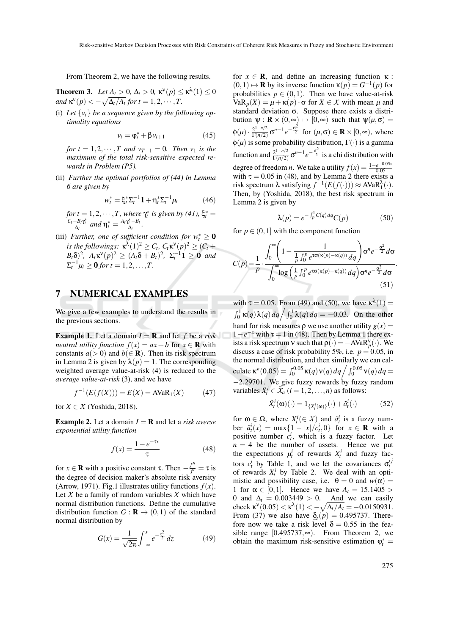From Theorem 2, we have the following results.

**Theorem 3.** Let  $A_t > 0$ ,  $\Delta_t > 0$ ,  $\kappa^{\mathsf{V}}(p) \leq \kappa^{\lambda}(1) \leq 0$  $\mathsf{and}\ \kappa^{\mathsf{v}}(p) < -\sqrt{\Delta_t/A_t}\ \text{for}\ t = 1,2,\cdots,T.$ 

(i) Let  $\{v_t\}$  be a sequence given by the following op*timality equations*

$$
v_t = \varphi_t^* + \beta v_{t+1} \tag{45}
$$

*for*  $t = 1, 2, \dots, T$  *and*  $v_{T+1} = 0$ *. Then*  $v_1$  *is the maximum of the total risk-sensitive expected rewards in Problem (P5).*

(ii) *Further the optimal portfolios of (44) in Lemma 6 are given by*

$$
w_t^* = \xi_t^* \Sigma_t^{-1} \mathbf{1} + \eta_t^* \Sigma_t^{-1} \mu_t \tag{46}
$$

for  $t = 1, 2, \dots, T$ , where  $\gamma_t^*$  is given by (41),  $\xi_t^* = \frac{C_t - B_t \gamma_t^*}{\Delta_t}$  and  $\eta_t^* = \frac{A_t \gamma_t^* - B_t}{\Delta_t}$ .

(iii) *Further, one of sufficient condition for*  $w_t^* \geq 0$  $\mathsf{R}^{\mathsf{a}}$  *is the followings:*  $\kappa^{\lambda}(1)^2 \geq C_t$ ,  $C_t \kappa^{\mathsf{v}}(p)^2 \geq (C_t + \lambda^{\mathsf{a}})$  $B_t \delta$ <sup>2</sup>,  $A_t \kappa^v(p)^2 \ge (A_t \delta + B_t)^2$ ,  $\Sigma_t^{-1} 1 \ge 0$  *and*  $\Sigma_t^{-1} \mu_t \ge 0$  for  $t = 1, 2, ..., T$ .

### 7 NUMERICAL EXAMPLES

We give a few examples to understand the results in the previous sections.

**Example 1.** Let a domain  $I = \mathbf{R}$  and let f be a risk *neutral utility function*  $f(x) = ax + b$  for  $x \in \mathbb{R}$  with constants  $a(> 0)$  and  $b( \in \mathbb{R})$ . Then its risk spectrum in Lemma 2 is given by  $\lambda(p) = 1$ . The corresponding weighted average value-at-risk (4) is reduced to the *average value-at-risk* (3), and we have

$$
f^{-1}(E(f(X))) = E(X) = AVaR_1(X)
$$
 (47)

for  $X \in \mathcal{X}$  (Yoshida, 2018).

**Example 2.** Let a domain  $I = \mathbf{R}$  and let a *risk averse exponential utility function*

$$
f(x) = \frac{1 - e^{-\tau x}}{\tau}
$$
 (48)

for  $x \in \mathbf{R}$  with a positive constant  $\tau$ . Then  $-\frac{f''}{f'}$  $\frac{d\overline{f}}{f'} = \tau$  is the degree of decision maker's absolute risk aversity (Arrow, 1971). Fig.1 illustrates utility functions  $f(x)$ . Let  $X$  be a family of random variables  $X$  which have normal distribution functions. Define the cumulative distribution function  $G : \mathbf{R} \to (0,1)$  of the standard normal distribution by

$$
G(x) = \frac{1}{\sqrt{2\pi}} \int_{-\infty}^{x} e^{-\frac{z^2}{2}} dz
$$
 (49)

for  $x \in \mathbf{R}$ , and define an increasing function  $\kappa$ :  $(0,1) \mapsto \mathbf{R}$  by its inverse function  $\kappa(p) = G^{-1}(p)$  for probabilities  $p \in (0,1)$ . Then we have value-at-risk  $VaR<sub>p</sub>(X) = μ + κ(p) ⋅ σ for X ∈ X with mean μ and$ standard deviation σ. Suppose there exists a distribution  $\psi : \mathbf{R} \times (0, \infty) \mapsto [0, \infty)$  such that  $\psi(\mu, \sigma) =$  $\phi(\mu) \cdot \frac{2^{1-n/2}}{\Gamma(n/2)}$  $\frac{2^{1-n/2}}{\Gamma(n/2)}$ **σ**<sup>*n*−1</sup>*e*<sup>- $\frac{\sigma^2}{2}$ </sup> for (*μ*,**σ**) ∈ **R** × [0,∞), where  $\phi(\mu)$  is some probability distribution,  $\Gamma(\cdot)$  is a gamma function and  $\frac{2^{1-n/2}}{\Gamma(n/2)}$  $\frac{2^{1-n/2}}{\Gamma(n/2)}$   $\sigma^{n-1}e^{-\frac{\sigma^2}{2}}$  is a chi distribution with degree of freedom *n*. We take a utility  $f(x) = \frac{1-e^{-0.05x}}{0.05}$ 0.05 with  $\tau = 0.05$  in (48), and by Lemma 2 there exists a risk spectrum  $\lambda$  satisfying  $f^{-1}(E(f(\cdot))) \approx AVaR_1^{\lambda}(\cdot)$ . Then, by (Yoshida, 2018), the best risk spectrum in Lemma 2 is given by

$$
\lambda(p) = e^{-\int_{p}^{1} C(q) dq} C(p) \tag{50}
$$

for  $p \in (0,1]$  with the component function

$$
C(p) = \frac{1}{p} \cdot \frac{\int_0^\infty \left(1 - \frac{1}{\frac{1}{p} \int_0^p e^{\tau \sigma(\kappa(p) - \kappa(q))} dq}\right) \sigma^n e^{-\frac{\sigma^2}{2}} d\sigma}{\int_0^\infty \log\left(\frac{1}{p} \int_0^p e^{\tau \sigma(\kappa(p) - \kappa(q))} dq\right) \sigma^n e^{-\frac{\sigma^2}{2}} d\sigma}
$$
(51)

with  $\tau = 0.05$ . From (49) and (50), we have  $\kappa^{\lambda}(1) =$  $\int_0^1 \kappa(q) \lambda(q) dq \Big/ \int_0^1 \lambda(q) dq = -0.03$ . On the other hand for risk measures  $\rho$  we use another utility  $g(x) =$  $1-e^{-x}$  with  $\tau = 1$  in (48). Then by Lemma 1 there exists a risk spectrum  $v$  such that  $\rho(\cdot) = -AVaR_p^v(\cdot)$ . We discuss a case of risk probability 5%, i.e.  $p = 0.05$ , in the normal distribution, and then similarly we can calculate  $\kappa^{v}(0.05) = \int_0^{0.05} \kappa(q) v(q) dq \int \int_0^{0.05} v(q) dq =$ −2.29701. We give fuzzy rewards by fuzzy random variables  $\tilde{X}_t^i \in \tilde{X}_a$   $(i = 1, 2, ..., n)$  as follows:

$$
\tilde{X}_t^i(\omega)(\cdot) = 1_{\{X_t^i(\omega)\}}(\cdot) + \tilde{a}_t^i(\cdot) \tag{52}
$$

for  $\omega \in \Omega$ , where  $X_t^i(\in \mathcal{X})$  and  $\tilde{a}_t^i$  is a fuzzy number  $\tilde{a}_t^i(x) = \max\{1 - |x|/c_t^i, 0\}$  for  $x \in \mathbb{R}$  with a positive number  $c_t^i$ , which is a fuzzy factor. Let  $n = 4$  be the number of assets. Hence we put the expectations  $\mu_t^i$  of rewards  $X_t^i$  and fuzzy factors  $c_t^i$  by Table 1, and we let the covariances  $\sigma_t^{ij}$ of rewards  $X_t^i$  by Table 2. We deal with an optimistic and possibility case, i.e.  $\theta = 0$  and  $w(\alpha) =$ 1 for  $\alpha \in [0,1]$ . Hence we have  $A_t = 15.1405$ 0 and  $\Delta_t = 0.003449 > 0$ . And we can easily check  $\kappa^{v}(0.05) < \kappa^{\lambda}(1) < -\sqrt{\Delta_t/A_t} = -0.0150931$ . From (37) we also have  $\delta_f(p) = 0.495737$ . Therefore now we take a risk level  $\delta = 0.55$  in the feasible range [0.495737, $\infty$ ). From Theorem 2, we obtain the maximum risk-sensitive estimation  $\varphi_t^* =$ 

.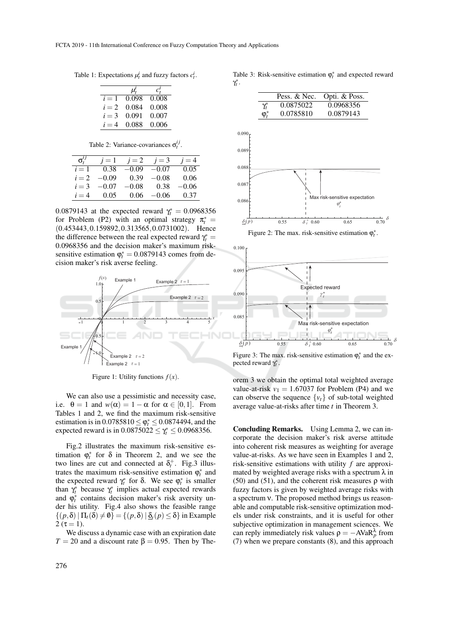Table 1: Expectations  $\mu_t^i$  and fuzzy factors  $c_t^i$ .

|         | $\mu_t'$ |       |
|---------|----------|-------|
| $i=1$   | 0.098    | 0.008 |
| $i=2$   | 0.084    | 0.008 |
| $i = 3$ | 0.091    | 0.007 |
| $i = 4$ | 0.088    | 0.006 |

Table 2: Variance-covariances  $\sigma_t^{ij}$ .

| $\sigma_t^{ij}$ | $i=1$   | $i=2$   | $i=3$   | $i=4$ |
|-----------------|---------|---------|---------|-------|
| $i=1$           | 0.38    | $-0.09$ | $-0.07$ | 0.05  |
| $i=2$           | $-0.09$ | 0.39    | $-0.08$ | 0.06  |
| $i = 3$         | $-0.07$ | $-0.08$ | 0.38    | -0.06 |
| $i = 4$         | 0.05    | 0.06    | -0.06   | 0.37  |

0.0879143 at the expected reward  $\gamma_t^* = 0.0968356$ for Problem (P2) with an optimal strategy  $\pi_t^* =$ (0.453443,0.159892,0.313565,0.0731002). Hence the difference between the real expected reward  $\gamma_t^* =$ 0.0968356 and the decision maker's maximum risksensitive estimation  $\varphi_t^* = 0.0879143$  comes from decision maker's risk averse feeling.



Figure 1: Utility functions  $f(x)$ .

We can also use a pessimistic and necessity case, i.e.  $\theta = 1$  and  $w(\alpha) = 1 - \alpha$  for  $\alpha \in [0, 1]$ . From Tables 1 and 2, we find the maximum risk-sensitive estimation is in  $0.0785810 \le \varphi_t^* \le 0.0874494$ , and the expected reward is in  $0.0875022 \leq \gamma_t^* \leq 0.0968356$ .

Fig.2 illustrates the maximum risk-sensitive estimation  $\varphi_t^*$  for  $\delta$  in Theorem 2, and we see the two lines are cut and connected at  $\delta_t^+$ . Fig.3 illustrates the maximum risk-sensitive estimation  $\varphi_t^*$  and the expected reward  $\gamma_t^*$  for  $\delta$ . We see  $\varphi_t^*$  is smaller than  $\gamma_t^*$  because  $\gamma_t^*$  implies actual expected rewards and  $\varphi_t^*$  contains decision maker's risk aversity under his utility. Fig.4 also shows the feasible range  $\{(p,\delta) | \Pi_t(\delta) \neq \emptyset\} = \{(p,\delta) | \underline{\delta}_t(p) \leq \delta\}$  in Example 2 ( $\tau = 1$ ).

We discuss a dynamic case with an expiration date  $T = 20$  and a discount rate  $\beta = 0.95$ . Then by TheTable 3: Risk-sensitive estimation  $\varphi_t^*$  and expected reward γ ∗ *t* .

|            | Pess. & Nec. | Opti. & Poss. |
|------------|--------------|---------------|
| $\gamma^*$ | 0.0875022    | 0.0968356     |
| $\omega^*$ | 0.0785810    | 0.0879143     |



Figure 2: The max. risk-sensitive estimation  $\varphi_t^*$ .



Figure 3: The max. risk-sensitive estimation  $\varphi_t^*$  and the expected reward  $\gamma_t^*$ .

orem 3 we obtain the optimal total weighted average value-at-risk  $v_1 = 1.67037$  for Problem (P4) and we can observe the sequence  $\{v_t\}$  of sub-total weighted average value-at-risks after time *t* in Theorem 3.

Concluding Remarks. Using Lemma 2, we can incorporate the decision maker's risk averse attitude into coherent risk measures as weighting for average value-at-risks. As we have seen in Examples 1 and 2, risk-sensitive estimations with utility *f* are approximated by weighted average risks with a spectrum  $\lambda$  in (50) and (51), and the coherent risk measures  $\rho$  with fuzzy factors is given by weighted average risks with a spectrum ν. The proposed method brings us reasonable and computable risk-sensitive optimization models under risk constraints, and it is useful for other subjective optimization in management sciences. We can reply immediately risk values  $\rho = -AVaR_p^{\lambda}$  from (7) when we prepare constants (8), and this approach